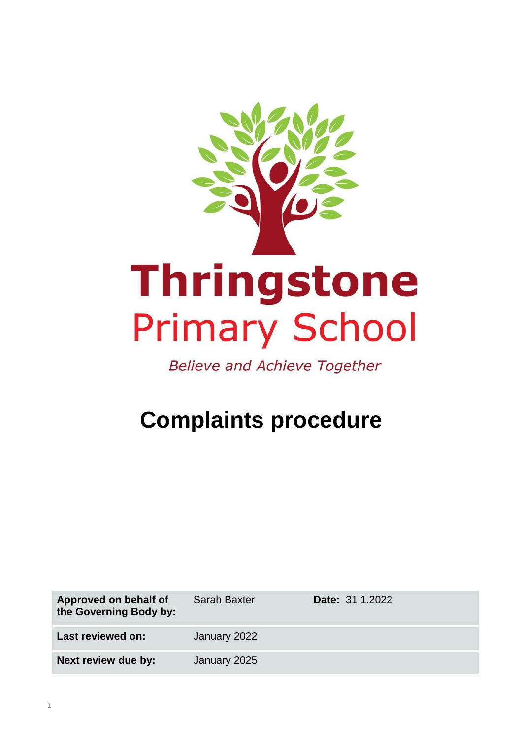

**Believe and Achieve Together** 

# **Complaints procedure**

| Approved on behalf of<br>the Governing Body by: | <b>Sarah Baxter</b> | <b>Date: 31.1.2022</b> |
|-------------------------------------------------|---------------------|------------------------|
| Last reviewed on:                               | January 2022        |                        |
| Next review due by:                             | January 2025        |                        |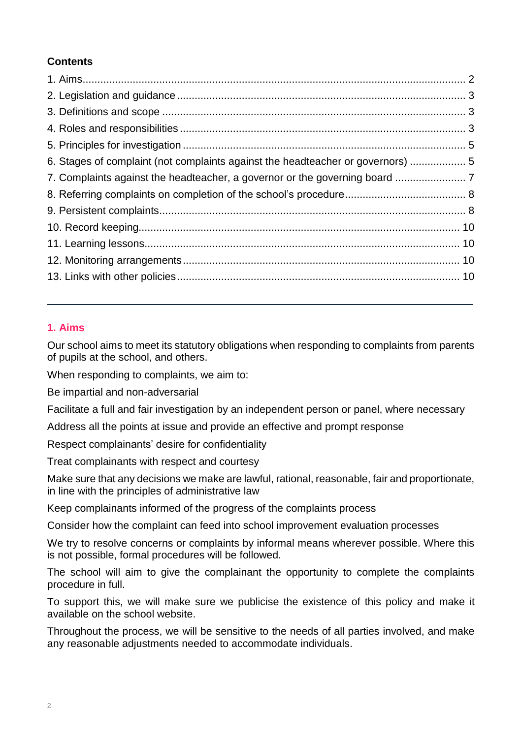# **Contents**

| 6. Stages of complaint (not complaints against the headteacher or governors)  5 |  |
|---------------------------------------------------------------------------------|--|
|                                                                                 |  |
|                                                                                 |  |
|                                                                                 |  |
|                                                                                 |  |
|                                                                                 |  |
|                                                                                 |  |
|                                                                                 |  |
|                                                                                 |  |

# <span id="page-1-0"></span>**1. Aims**

Our school aims to meet its statutory obligations when responding to complaints from parents of pupils at the school, and others.

When responding to complaints, we aim to:

Be impartial and non-adversarial

Facilitate a full and fair investigation by an independent person or panel, where necessary

Address all the points at issue and provide an effective and prompt response

Respect complainants' desire for confidentiality

Treat complainants with respect and courtesy

Make sure that any decisions we make are lawful, rational, reasonable, fair and proportionate, in line with the principles of administrative law

Keep complainants informed of the progress of the complaints process

Consider how the complaint can feed into school improvement evaluation processes

We try to resolve concerns or complaints by informal means wherever possible. Where this is not possible, formal procedures will be followed.

The school will aim to give the complainant the opportunity to complete the complaints procedure in full.

To support this, we will make sure we publicise the existence of this policy and make it available on the school website.

<span id="page-1-1"></span>Throughout the process, we will be sensitive to the needs of all parties involved, and make any reasonable adjustments needed to accommodate individuals.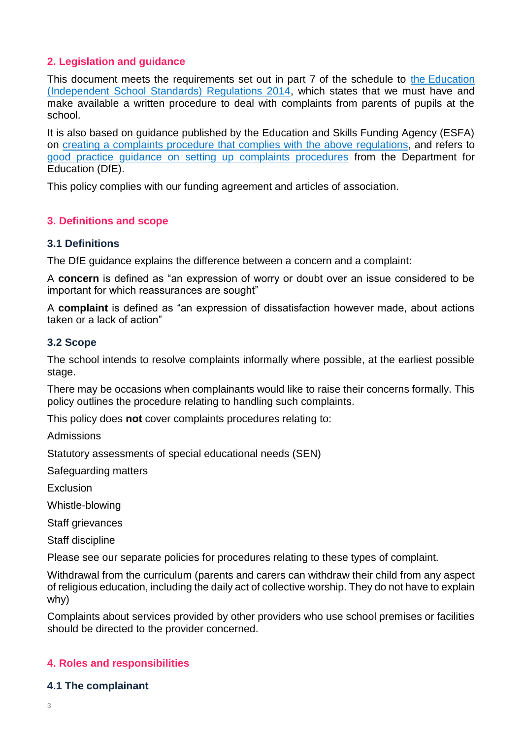# **2. Legislation and guidance**

This document meets the requirements set out in part 7 of the schedule to the Education [\(Independent School Standards\) Regulations 2014,](http://www.legislation.gov.uk/uksi/2014/3283/schedule/made) which states that we must have and make available a written procedure to deal with complaints from parents of pupils at the school.

It is also based on guidance published by the Education and Skills Funding Agency (ESFA) on [creating a complaints procedure that complies with the above](https://www.gov.uk/government/publications/setting-up-an-academies-complaints-procedure) regulations, and refers to [good practice guidance on setting up complaints procedures](https://www.gov.uk/government/publications/school-complaints-procedures) from the Department for Education (DfE).

This policy complies with our funding agreement and articles of association.

## <span id="page-2-0"></span>**3. Definitions and scope**

#### **3.1 Definitions**

The DfE guidance explains the difference between a concern and a complaint:

A **concern** is defined as "an expression of worry or doubt over an issue considered to be important for which reassurances are sought"

A **complaint** is defined as "an expression of dissatisfaction however made, about actions taken or a lack of action"

#### **3.2 Scope**

The school intends to resolve complaints informally where possible, at the earliest possible stage.

There may be occasions when complainants would like to raise their concerns formally. This policy outlines the procedure relating to handling such complaints.

This policy does **not** cover complaints procedures relating to:

Admissions

Statutory assessments of special educational needs (SEN)

Safeguarding matters

Exclusion

Whistle-blowing

Staff grievances

Staff discipline

Please see our separate policies for procedures relating to these types of complaint.

Withdrawal from the curriculum (parents and carers can withdraw their child from any aspect of religious education, including the daily act of collective worship. They do not have to explain why)

Complaints about services provided by other providers who use school premises or facilities should be directed to the provider concerned.

### <span id="page-2-1"></span>**4. Roles and responsibilities**

#### **4.1 The complainant**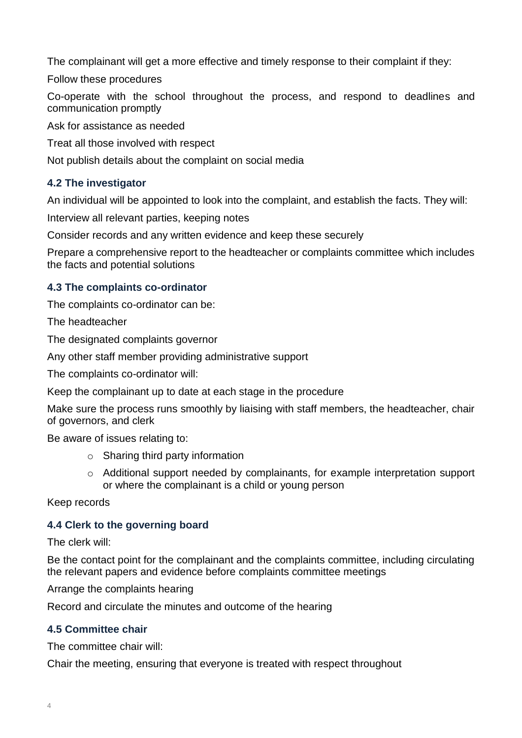The complainant will get a more effective and timely response to their complaint if they:

Follow these procedures

Co-operate with the school throughout the process, and respond to deadlines and communication promptly

Ask for assistance as needed

Treat all those involved with respect

Not publish details about the complaint on social media

# **4.2 The investigator**

An individual will be appointed to look into the complaint, and establish the facts. They will:

Interview all relevant parties, keeping notes

Consider records and any written evidence and keep these securely

Prepare a comprehensive report to the headteacher or complaints committee which includes the facts and potential solutions

# **4.3 The complaints co-ordinator**

The complaints co-ordinator can be:

The headteacher

The designated complaints governor

Any other staff member providing administrative support

The complaints co-ordinator will:

Keep the complainant up to date at each stage in the procedure

Make sure the process runs smoothly by liaising with staff members, the headteacher, chair of governors, and clerk

Be aware of issues relating to:

- $\circ$  Sharing third party information
- o Additional support needed by complainants, for example interpretation support or where the complainant is a child or young person

Keep records

# **4.4 Clerk to the governing board**

The clerk will:

Be the contact point for the complainant and the complaints committee, including circulating the relevant papers and evidence before complaints committee meetings

Arrange the complaints hearing

Record and circulate the minutes and outcome of the hearing

# **4.5 Committee chair**

The committee chair will:

Chair the meeting, ensuring that everyone is treated with respect throughout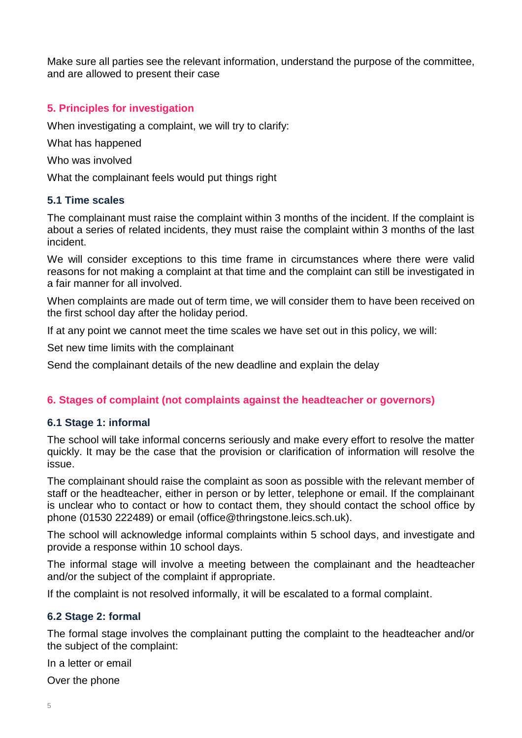Make sure all parties see the relevant information, understand the purpose of the committee, and are allowed to present their case

# <span id="page-4-0"></span>**5. Principles for investigation**

When investigating a complaint, we will try to clarify:

What has happened

Who was involved

What the complainant feels would put things right

## **5.1 Time scales**

The complainant must raise the complaint within 3 months of the incident. If the complaint is about a series of related incidents, they must raise the complaint within 3 months of the last incident.

We will consider exceptions to this time frame in circumstances where there were valid reasons for not making a complaint at that time and the complaint can still be investigated in a fair manner for all involved.

When complaints are made out of term time, we will consider them to have been received on the first school day after the holiday period.

If at any point we cannot meet the time scales we have set out in this policy, we will:

Set new time limits with the complainant

Send the complainant details of the new deadline and explain the delay

# <span id="page-4-1"></span>**6. Stages of complaint (not complaints against the headteacher or governors)**

### **6.1 Stage 1: informal**

The school will take informal concerns seriously and make every effort to resolve the matter quickly. It may be the case that the provision or clarification of information will resolve the issue.

The complainant should raise the complaint as soon as possible with the relevant member of staff or the headteacher, either in person or by letter, telephone or email. If the complainant is unclear who to contact or how to contact them, they should contact the school office by phone (01530 222489) or email (office@thringstone.leics.sch.uk).

The school will acknowledge informal complaints within 5 school days, and investigate and provide a response within 10 school days.

The informal stage will involve a meeting between the complainant and the headteacher and/or the subject of the complaint if appropriate.

If the complaint is not resolved informally, it will be escalated to a formal complaint.

# **6.2 Stage 2: formal**

The formal stage involves the complainant putting the complaint to the headteacher and/or the subject of the complaint:

In a letter or email

Over the phone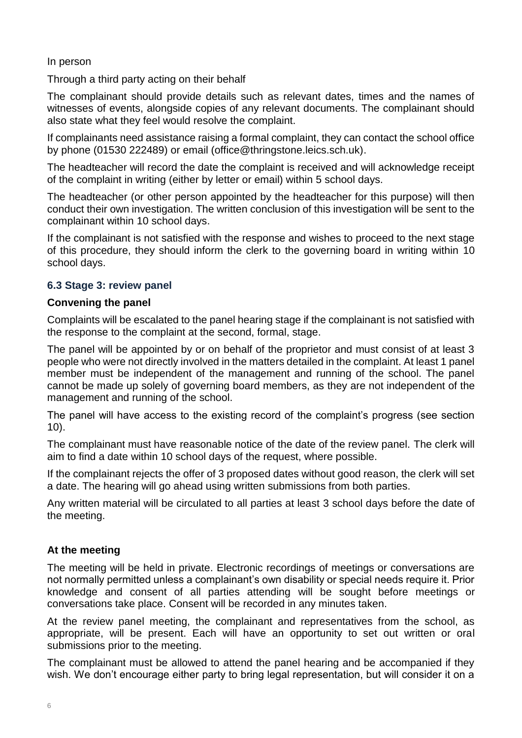In person

Through a third party acting on their behalf

The complainant should provide details such as relevant dates, times and the names of witnesses of events, alongside copies of any relevant documents. The complainant should also state what they feel would resolve the complaint.

If complainants need assistance raising a formal complaint, they can contact the school office by phone (01530 222489) or email (office@thringstone.leics.sch.uk).

The headteacher will record the date the complaint is received and will acknowledge receipt of the complaint in writing (either by letter or email) within 5 school days.

The headteacher (or other person appointed by the headteacher for this purpose) will then conduct their own investigation. The written conclusion of this investigation will be sent to the complainant within 10 school days.

If the complainant is not satisfied with the response and wishes to proceed to the next stage of this procedure, they should inform the clerk to the governing board in writing within 10 school days.

# **6.3 Stage 3: review panel**

## **Convening the panel**

Complaints will be escalated to the panel hearing stage if the complainant is not satisfied with the response to the complaint at the second, formal, stage.

The panel will be appointed by or on behalf of the proprietor and must consist of at least 3 people who were not directly involved in the matters detailed in the complaint. At least 1 panel member must be independent of the management and running of the school. The panel cannot be made up solely of governing board members, as they are not independent of the management and running of the school.

The panel will have access to the existing record of the complaint's progress (see section 10).

The complainant must have reasonable notice of the date of the review panel. The clerk will aim to find a date within 10 school days of the request, where possible.

If the complainant rejects the offer of 3 proposed dates without good reason, the clerk will set a date. The hearing will go ahead using written submissions from both parties.

Any written material will be circulated to all parties at least 3 school days before the date of the meeting.

# **At the meeting**

The meeting will be held in private. Electronic recordings of meetings or conversations are not normally permitted unless a complainant's own disability or special needs require it. Prior knowledge and consent of all parties attending will be sought before meetings or conversations take place. Consent will be recorded in any minutes taken.

At the review panel meeting, the complainant and representatives from the school, as appropriate, will be present. Each will have an opportunity to set out written or oral submissions prior to the meeting.

The complainant must be allowed to attend the panel hearing and be accompanied if they wish. We don't encourage either party to bring legal representation, but will consider it on a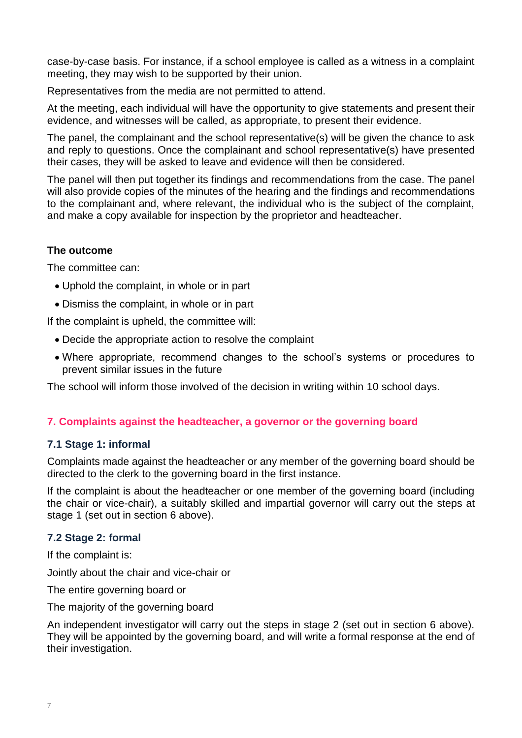case-by-case basis. For instance, if a school employee is called as a witness in a complaint meeting, they may wish to be supported by their union.

Representatives from the media are not permitted to attend.

At the meeting, each individual will have the opportunity to give statements and present their evidence, and witnesses will be called, as appropriate, to present their evidence.

The panel, the complainant and the school representative(s) will be given the chance to ask and reply to questions. Once the complainant and school representative(s) have presented their cases, they will be asked to leave and evidence will then be considered.

The panel will then put together its findings and recommendations from the case. The panel will also provide copies of the minutes of the hearing and the findings and recommendations to the complainant and, where relevant, the individual who is the subject of the complaint, and make a copy available for inspection by the proprietor and headteacher.

## **The outcome**

The committee can:

- Uphold the complaint, in whole or in part
- Dismiss the complaint, in whole or in part

If the complaint is upheld, the committee will:

- Decide the appropriate action to resolve the complaint
- Where appropriate, recommend changes to the school's systems or procedures to prevent similar issues in the future

The school will inform those involved of the decision in writing within 10 school days.

# <span id="page-6-0"></span>**7. Complaints against the headteacher, a governor or the governing board**

### **7.1 Stage 1: informal**

Complaints made against the headteacher or any member of the governing board should be directed to the clerk to the governing board in the first instance.

If the complaint is about the headteacher or one member of the governing board (including the chair or vice-chair), a suitably skilled and impartial governor will carry out the steps at stage 1 (set out in section 6 above).

### **7.2 Stage 2: formal**

If the complaint is:

Jointly about the chair and vice-chair or

The entire governing board or

The majority of the governing board

An independent investigator will carry out the steps in stage 2 (set out in section 6 above). They will be appointed by the governing board, and will write a formal response at the end of their investigation.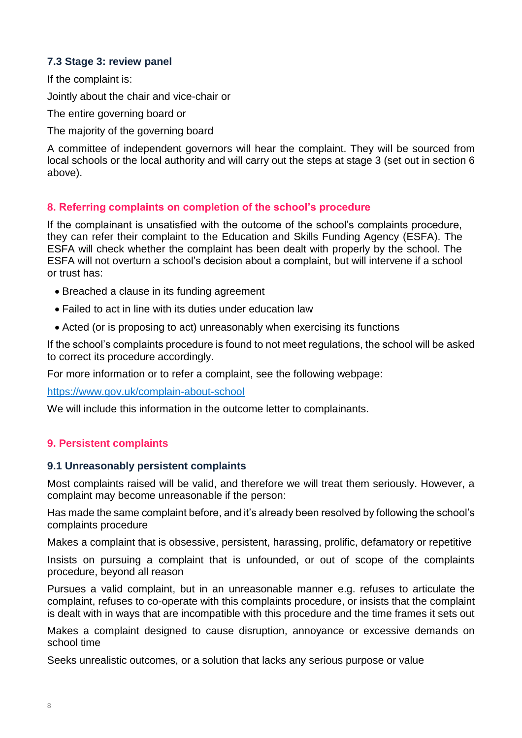# **7.3 Stage 3: review panel**

If the complaint is:

Jointly about the chair and vice-chair or

The entire governing board or

The majority of the governing board

A committee of independent governors will hear the complaint. They will be sourced from local schools or the local authority and will carry out the steps at stage 3 (set out in section 6 above).

## <span id="page-7-0"></span>**8. Referring complaints on completion of the school's procedure**

If the complainant is unsatisfied with the outcome of the school's complaints procedure, they can refer their complaint to the Education and Skills Funding Agency (ESFA). The ESFA will check whether the complaint has been dealt with properly by the school. The ESFA will not overturn a school's decision about a complaint, but will intervene if a school or trust has:

- Breached a clause in its funding agreement
- Failed to act in line with its duties under education law
- Acted (or is proposing to act) unreasonably when exercising its functions

If the school's complaints procedure is found to not meet regulations, the school will be asked to correct its procedure accordingly.

For more information or to refer a complaint, see the following webpage:

<https://www.gov.uk/complain-about-school>

We will include this information in the outcome letter to complainants.

### <span id="page-7-1"></span>**9. Persistent complaints**

#### **9.1 Unreasonably persistent complaints**

Most complaints raised will be valid, and therefore we will treat them seriously. However, a complaint may become unreasonable if the person:

Has made the same complaint before, and it's already been resolved by following the school's complaints procedure

Makes a complaint that is obsessive, persistent, harassing, prolific, defamatory or repetitive

Insists on pursuing a complaint that is unfounded, or out of scope of the complaints procedure, beyond all reason

Pursues a valid complaint, but in an unreasonable manner e.g. refuses to articulate the complaint, refuses to co-operate with this complaints procedure, or insists that the complaint is dealt with in ways that are incompatible with this procedure and the time frames it sets out

Makes a complaint designed to cause disruption, annoyance or excessive demands on school time

Seeks unrealistic outcomes, or a solution that lacks any serious purpose or value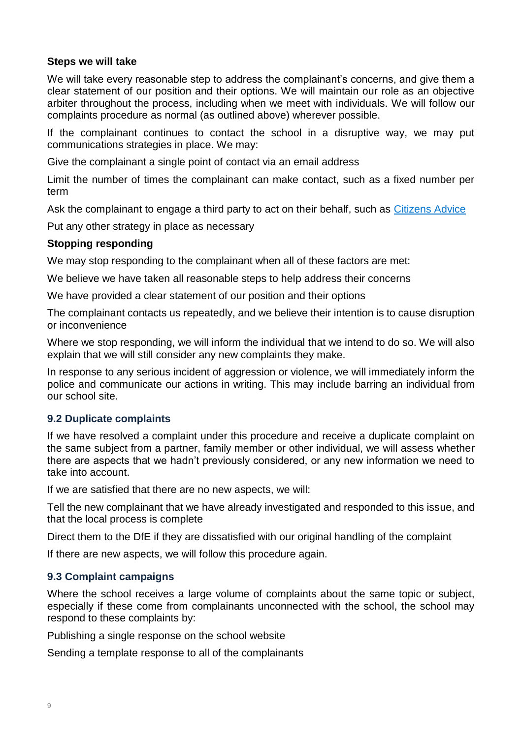### **Steps we will take**

We will take every reasonable step to address the complainant's concerns, and give them a clear statement of our position and their options. We will maintain our role as an objective arbiter throughout the process, including when we meet with individuals. We will follow our complaints procedure as normal (as outlined above) wherever possible.

If the complainant continues to contact the school in a disruptive way, we may put communications strategies in place. We may:

Give the complainant a single point of contact via an email address

Limit the number of times the complainant can make contact, such as a fixed number per term

Ask the complainant to engage a third party to act on their behalf, such as [Citizens Advice](https://www.citizensadvice.org.uk/)

Put any other strategy in place as necessary

#### **Stopping responding**

We may stop responding to the complainant when all of these factors are met:

We believe we have taken all reasonable steps to help address their concerns

We have provided a clear statement of our position and their options

The complainant contacts us repeatedly, and we believe their intention is to cause disruption or inconvenience

Where we stop responding, we will inform the individual that we intend to do so. We will also explain that we will still consider any new complaints they make.

In response to any serious incident of aggression or violence, we will immediately inform the police and communicate our actions in writing. This may include barring an individual from our school site.

### **9.2 Duplicate complaints**

If we have resolved a complaint under this procedure and receive a duplicate complaint on the same subject from a partner, family member or other individual, we will assess whether there are aspects that we hadn't previously considered, or any new information we need to take into account.

If we are satisfied that there are no new aspects, we will:

Tell the new complainant that we have already investigated and responded to this issue, and that the local process is complete

Direct them to the DfE if they are dissatisfied with our original handling of the complaint

If there are new aspects, we will follow this procedure again.

### **9.3 Complaint campaigns**

Where the school receives a large volume of complaints about the same topic or subject, especially if these come from complainants unconnected with the school, the school may respond to these complaints by:

Publishing a single response on the school website

Sending a template response to all of the complainants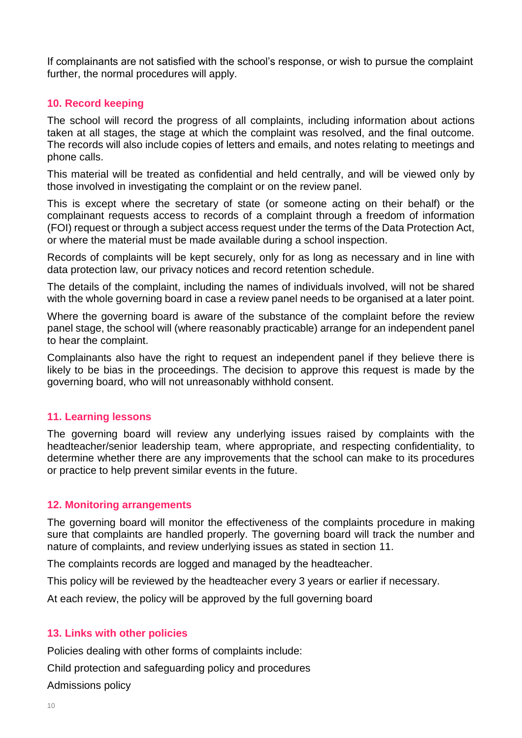If complainants are not satisfied with the school's response, or wish to pursue the complaint further, the normal procedures will apply.

# <span id="page-9-0"></span>**10. Record keeping**

The school will record the progress of all complaints, including information about actions taken at all stages, the stage at which the complaint was resolved, and the final outcome. The records will also include copies of letters and emails, and notes relating to meetings and phone calls.

This material will be treated as confidential and held centrally, and will be viewed only by those involved in investigating the complaint or on the review panel.

This is except where the secretary of state (or someone acting on their behalf) or the complainant requests access to records of a complaint through a freedom of information (FOI) request or through a subject access request under the terms of the Data Protection Act, or where the material must be made available during a school inspection.

Records of complaints will be kept securely, only for as long as necessary and in line with data protection law, our privacy notices and record retention schedule.

The details of the complaint, including the names of individuals involved, will not be shared with the whole governing board in case a review panel needs to be organised at a later point.

Where the governing board is aware of the substance of the complaint before the review panel stage, the school will (where reasonably practicable) arrange for an independent panel to hear the complaint.

Complainants also have the right to request an independent panel if they believe there is likely to be bias in the proceedings. The decision to approve this request is made by the governing board, who will not unreasonably withhold consent.

### <span id="page-9-1"></span>**11. Learning lessons**

The governing board will review any underlying issues raised by complaints with the headteacher/senior leadership team, where appropriate, and respecting confidentiality, to determine whether there are any improvements that the school can make to its procedures or practice to help prevent similar events in the future.

### <span id="page-9-2"></span>**12. Monitoring arrangements**

The governing board will monitor the effectiveness of the complaints procedure in making sure that complaints are handled properly. The governing board will track the number and nature of complaints, and review underlying issues as stated in section 11.

The complaints records are logged and managed by the headteacher.

This policy will be reviewed by the headteacher every 3 years or earlier if necessary.

At each review, the policy will be approved by the full governing board

### <span id="page-9-3"></span>**13. Links with other policies**

Policies dealing with other forms of complaints include:

Child protection and safeguarding policy and procedures

Admissions policy